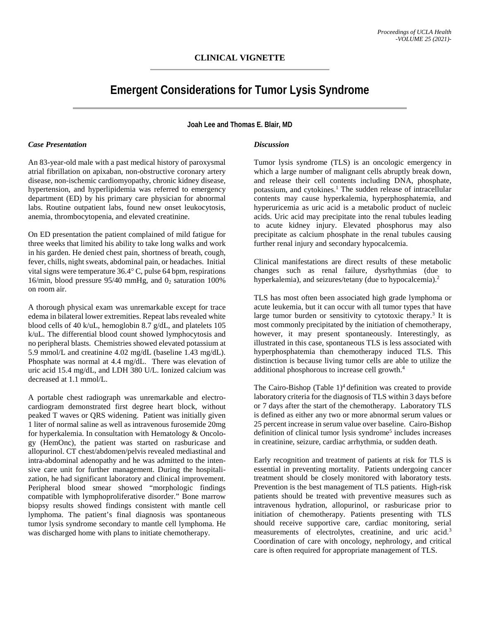## **CLINICAL VIGNETTE**

# **Emergent Considerations for Tumor Lysis Syndrome**

**Joah Lee and Thomas E. Blair, MD**

#### *Case Presentation*

An 83-year-old male with a past medical history of paroxysmal atrial fibrillation on apixaban, non-obstructive coronary artery disease, non-ischemic cardiomyopathy, chronic kidney disease, hypertension, and hyperlipidemia was referred to emergency department (ED) by his primary care physician for abnormal labs. Routine outpatient labs, found new onset leukocytosis, anemia, thrombocytopenia, and elevated creatinine.

On ED presentation the patient complained of mild fatigue for three weeks that limited his ability to take long walks and work in his garden. He denied chest pain, shortness of breath, cough, fever, chills, night sweats, abdominal pain, or headaches. Initial vital signs were temperature 36.4° C, pulse 64 bpm, respirations 16/min, blood pressure  $95/40$  mmHg, and  $0<sub>2</sub>$  saturation 100% on room air.

A thorough physical exam was unremarkable except for trace edema in bilateral lower extremities. Repeat labs revealed white blood cells of 40 k/uL, hemoglobin 8.7 g/dL, and platelets 105 k/uL. The differential blood count showed lymphocytosis and no peripheral blasts. Chemistries showed elevated potassium at 5.9 mmol/L and creatinine 4.02 mg/dL (baseline 1.43 mg/dL). Phosphate was normal at 4.4 mg/dL. There was elevation of uric acid 15.4 mg/dL, and LDH 380 U/L. Ionized calcium was decreased at 1.1 mmol/L.

A portable chest radiograph was unremarkable and electrocardiogram demonstrated first degree heart block, without peaked T waves or QRS widening. Patient was initially given 1 liter of normal saline as well as intravenous furosemide 20mg for hyperkalemia. In consultation with Hematology & Oncology (HemOnc), the patient was started on rasburicase and allopurinol. CT chest/abdomen/pelvis revealed mediastinal and intra-abdominal adenopathy and he was admitted to the intensive care unit for further management. During the hospitalization, he had significant laboratory and clinical improvement. Peripheral blood smear showed "morphologic findings compatible with lymphoproliferative disorder." Bone marrow biopsy results showed findings consistent with mantle cell lymphoma. The patient's final diagnosis was spontaneous tumor lysis syndrome secondary to mantle cell lymphoma. He was discharged home with plans to initiate chemotherapy.

#### *Discussion*

Tumor lysis syndrome (TLS) is an oncologic emergency in which a large number of malignant cells abruptly break down, and release their cell contents including DNA, phosphate, potassium, and cytokines.<sup>1</sup> The sudden release of intracellular contents may cause hyperkalemia, hyperphosphatemia, and hyperuricemia as uric acid is a metabolic product of nucleic acids. Uric acid may precipitate into the renal tubules leading to acute kidney injury. Elevated phosphorus may also precipitate as calcium phosphate in the renal tubules causing further renal injury and secondary hypocalcemia.

Clinical manifestations are direct results of these metabolic changes such as renal failure, dysrhythmias (due to hyperkalemia), and seizures/tetany (due to hypocalcemia).<sup>2</sup>

TLS has most often been associated high grade lymphoma or acute leukemia, but it can occur with all tumor types that have large tumor burden or sensitivity to cytotoxic therapy.<sup>3</sup> It is most commonly precipitated by the initiation of chemotherapy, however, it may present spontaneously. Interestingly, as illustrated in this case, spontaneous TLS is less associated with hyperphosphatemia than chemotherapy induced TLS. This distinction is because living tumor cells are able to utilize the additional phosphorous to increase cell growth.<sup>4</sup>

The Cairo-Bishop (Table  $1)^4$  definition was created to provide laboratory criteria for the diagnosis of TLS within 3 days before or 7 days after the start of the chemotherapy. Laboratory TLS is defined as either any two or more abnormal serum values or 25 percent increase in serum value over baseline. Cairo-Bishop definition of clinical tumor lysis syndrome<sup>5</sup> includes increases in creatinine, seizure, cardiac arrhythmia, or sudden death.

Early recognition and treatment of patients at risk for TLS is essential in preventing mortality. Patients undergoing cancer treatment should be closely monitored with laboratory tests. Prevention is the best management of TLS patients. High-risk patients should be treated with preventive measures such as intravenous hydration, allopurinol, or rasburicase prior to initiation of chemotherapy. Patients presenting with TLS should receive supportive care, cardiac monitoring, serial measurements of electrolytes, creatinine, and uric acid.<sup>3</sup> Coordination of care with oncology, nephrology, and critical care is often required for appropriate management of TLS.